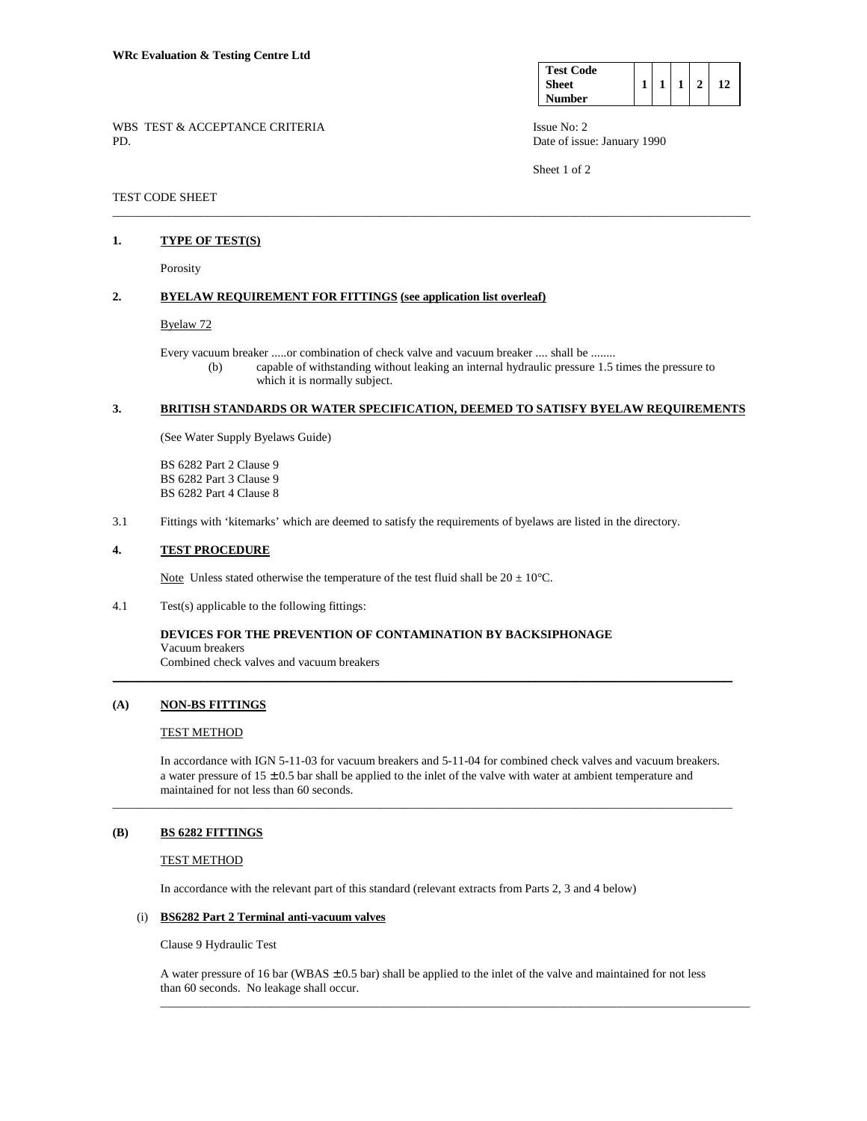| <b>Test Code</b> |  |   |  |
|------------------|--|---|--|
| <b>Sheet</b>     |  | ◠ |  |
| Number           |  |   |  |

Sheet 1 of 2

WBS TEST & ACCEPTANCE CRITERIA ISSUE No: 2 PD. Date of issue: January 1990

### TEST CODE SHEET

#### **1. TYPE OF TEST(S)**

Porosity

# **2. BYELAW REQUIREMENT FOR FITTINGS (see application list overleaf)**

### Byelaw 72

 Every vacuum breaker .....or combination of check valve and vacuum breaker .... shall be ........ (b) capable of withstanding without leaking an internal hydraulic pressure 1.5 times the pressure to

\_\_\_\_\_\_\_\_\_\_\_\_\_\_\_\_\_\_\_\_\_\_\_\_\_\_\_\_\_\_\_\_\_\_\_\_\_\_\_\_\_\_\_\_\_\_\_\_\_\_\_\_\_\_\_\_\_\_\_\_\_\_\_\_\_\_\_\_\_\_\_\_\_\_\_\_\_\_\_\_\_\_\_\_\_\_\_\_\_\_\_\_\_\_\_\_\_\_\_\_\_\_\_\_\_

which it is normally subject.

#### **3. BRITISH STANDARDS OR WATER SPECIFICATION, DEEMED TO SATISFY BYELAW REQUIREMENTS**

(See Water Supply Byelaws Guide)

 BS 6282 Part 2 Clause 9 BS 6282 Part 3 Clause 9 BS 6282 Part 4 Clause 8

3.1 Fittings with 'kitemarks' which are deemed to satisfy the requirements of byelaws are listed in the directory.

### **4. TEST PROCEDURE**

Note Unless stated otherwise the temperature of the test fluid shall be  $20 \pm 10^{\circ}$ C.

4.1 Test(s) applicable to the following fittings:

**DEVICES FOR THE PREVENTION OF CONTAMINATION BY BACKSIPHONAGE** Vacuum breakers

Combined check valves and vacuum breakers

#### **(A) NON-BS FITTINGS**

### TEST METHOD

 In accordance with IGN 5-11-03 for vacuum breakers and 5-11-04 for combined check valves and vacuum breakers. a water pressure of  $15 \pm 0.5$  bar shall be applied to the inlet of the valve with water at ambient temperature and maintained for not less than 60 seconds.

\_\_\_\_\_\_\_\_\_\_\_\_\_\_\_\_\_\_\_\_\_\_\_\_\_\_\_\_\_\_\_\_\_\_\_\_\_\_\_\_\_\_\_\_\_\_\_\_\_\_\_\_\_\_\_\_\_\_\_\_\_\_\_\_\_\_\_\_\_\_\_\_\_\_\_\_\_\_\_\_\_\_\_\_\_\_\_\_\_\_\_\_\_\_\_\_\_\_\_\_\_\_

\_\_\_\_\_\_\_\_\_\_\_\_\_\_\_\_\_\_\_\_\_\_\_\_\_\_\_\_\_\_\_\_\_\_\_\_\_\_\_\_\_\_\_\_\_\_\_\_\_\_\_\_\_\_\_\_\_\_\_\_\_\_\_\_\_\_\_\_\_\_\_\_\_\_\_\_\_\_\_\_\_\_\_\_\_\_\_\_\_\_\_\_\_\_\_\_\_\_\_\_\_\_

#### **(B) BS 6282 FITTINGS**

#### TEST METHOD

In accordance with the relevant part of this standard (relevant extracts from Parts 2, 3 and 4 below)

#### (i) **BS6282 Part 2 Terminal anti-vacuum valves**

Clause 9 Hydraulic Test

A water pressure of 16 bar (WBAS  $\pm$  0.5 bar) shall be applied to the inlet of the valve and maintained for not less than 60 seconds. No leakage shall occur.  $\_$  ,  $\_$  ,  $\_$  ,  $\_$  ,  $\_$  ,  $\_$  ,  $\_$  ,  $\_$  ,  $\_$  ,  $\_$  ,  $\_$  ,  $\_$  ,  $\_$  ,  $\_$  ,  $\_$  ,  $\_$  ,  $\_$  ,  $\_$  ,  $\_$  ,  $\_$  ,  $\_$  ,  $\_$  ,  $\_$  ,  $\_$  ,  $\_$  ,  $\_$  ,  $\_$  ,  $\_$  ,  $\_$  ,  $\_$  ,  $\_$  ,  $\_$  ,  $\_$  ,  $\_$  ,  $\_$  ,  $\_$  ,  $\_$  ,